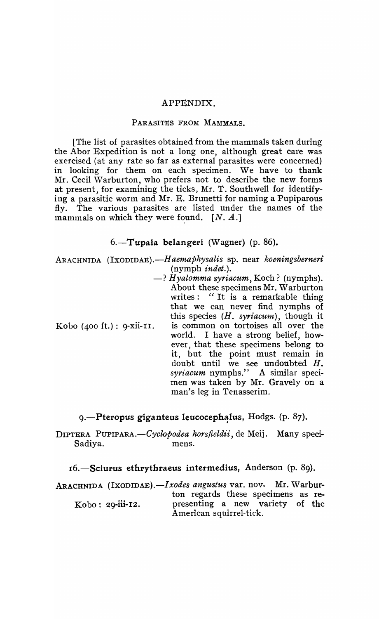## APPENDIX.

## PARASITES FROM MAMMALS.

[The list of parasites obtained from the mammals taken during the Abor Expedition is not a long one, although great care was exercised (at any rate so far as external parasites were concerned) in looking for them on each specimen. We have to thank Mr. Cecil Warburton, who prefers not to describe the new forms at present, for examining the ticks, Mr. T. Southwell for identifying a parasitic worm and Mr. E. Brunetti for naming a Pupiparous fly. The various parasites are listed under the names of the mammals on which they were found.  $[N, A.]$ 

## $6.$ -Tupaia belangeri (Wagner) (p. 86).

ARACHNIDA *(IXODIDAE}.-Haemaphysalis* sp. near *koeningsberneri*  (nymph *indet.).* 

-? *Hyalomma syriacum*, Koch? (nymphs). About these specimens Mr. Warburton writes: "It is a remarkable thing that we can never find nymphs of this species *(H. syriacum),* though it Kobo (400 ft.): g-xii-II. is common on tortoises all over the world. I have a strong belief, however, that these specimens belong toit, but the point must remain in doubt until we see undoubted H. *syriacum* nymphs." A similar specimen was taken by Mr. Gravely on a man's leg in Tenasserim.

9.—Pteropus giganteus leucocephalus, Hodgs. (p. 87).

DIPTERA *PUPIPARA.-Cyclopodea horsfieldii,* de Meij. Many speci-Sadiya. mens.

16.-Sciurus ethrythraeus intermedius, Anderson (p. 89).

ARACHNIDA *(IXODIDAE).-Ixodes angustus* var. nov. Mr. Warburton regards these specimens as re-Kobo: 2g-iii-I2. presenting a new variety of the American squirrel-tick.